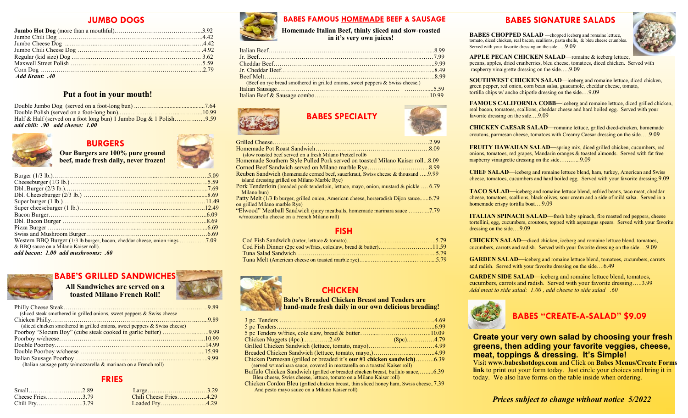#### **JUMBO DOGS**

| Add Kraut: .40 |  |
|----------------|--|

#### **Put a foot in your mouth!**

| add chili: .90 add cheese: 1.00 |  |
|---------------------------------|--|



# **BURGERS**

**Our Burgers are 100% pure ground beef, made fresh daily, never frozen!**

| & BBQ sauce on a Milano Kaiser roll). |  |
|---------------------------------------|--|

*add bacon: 1.00 add mushrooms: .60*

# **BABE'S GRILLED SANDWICHES**

#### **All Sandwiches are served on a toasted**

|  |  | UWILIES ALE SELVEU VIL A |  |  |
|--|--|--------------------------|--|--|
|  |  | d Milano French Roll!    |  |  |

| (sliced steak smothered in grilled onions, sweet peppers & Swiss cheese    |  |
|----------------------------------------------------------------------------|--|
|                                                                            |  |
| (sliced chicken smothered in grilled onions, sweet peppers & Swiss cheese) |  |
|                                                                            |  |
|                                                                            |  |
|                                                                            |  |
|                                                                            |  |
|                                                                            |  |
| (Italian sausage patty w/mozzarella & marinara on a French roll)           |  |

| Cheese Fries3.79 | Chili Cheese Fries4.29 |
|------------------|------------------------|
| Chili Fry3.79    | Loaded Fry4.29         |



## **BABES FAMOUS HOMEMADE BEEF & SAUSAGE BABES SIGNATURE SALADS**

**Homemade Italian Beef, thinly sliced and slow-roasted in it's very own juices!**

| (Beef on rye bread smothered in grilled onions, sweet peppers & Swiss cheese.) |  |
|--------------------------------------------------------------------------------|--|
|                                                                                |  |
|                                                                                |  |
|                                                                                |  |





| (slow roasted beef served on a fresh Milano Pretzel roll6)                                                                                  |
|---------------------------------------------------------------------------------------------------------------------------------------------|
| Homemade Southern Style Pulled Pork served on toasted Milano Kaiser roll8.09                                                                |
|                                                                                                                                             |
| <b>Reuben Sandwich (homemade corned beef, sauerkraut, Swiss cheese &amp; thousand 9.99</b><br>island dressing grilled on Milano Marble Rye) |
| Pork Tenderloin (breaded pork tenderloin, lettuce, mayo, onion, mustard & pickle  6.79<br>Milano bun)                                       |
| Patty Melt (1/3 lb burger, grilled onion, American cheese, horseradish Dijon sauce6.79<br>on grilled Milano marble Rye)                     |
| "Elwood" Meatball Sandwich (juicy meatballs, homemade marinara sauce 7.79<br>w/mozzarella cheese on a French Milano roll)                   |

#### **FISH**

# **CHICKEN**

#### **Babe's Breaded Chicken Breast and Tenders are hand-made fresh daily in our own delicious breading!**

|                                       |                                                                                      | <b>DADES CREATE-A-SALAD \$9.09</b>                                     |
|---------------------------------------|--------------------------------------------------------------------------------------|------------------------------------------------------------------------|
| onions, sweet peppers & Swiss cheese) |                                                                                      |                                                                        |
| k cooked in garlic butter) 9.99       |                                                                                      |                                                                        |
|                                       | Chicken Nuggets (4pc.)2.49 (8pc)4.79                                                 | <b>Create your very own salad by choosing you</b>                      |
|                                       |                                                                                      | greens, then adding your favorite veggies, or                          |
|                                       |                                                                                      | meat, toppings & dressing. It's Simple!                                |
|                                       | Chicken Parmesan (grilled or breaded it's <b>our #1 chicken sandwich</b> )6.39       |                                                                        |
| & marinara on a French roll)          | (served w/marinara sauce, covered in mozzarella on a toasted Kaiser roll)            | Visit www.babeshotdogs.com and Click on Babes Menus/Ci                 |
|                                       | Buffalo Chicken Sandwich (grilled or breaded chicken breast, buffalo sauce,6.39      | <b>link</b> to print out your form today. Just circle your choices and |
| <b>FRIES</b>                          | Bleu cheese, Swiss cheese, lettuce, tomato on a Milano Kaiser roll)                  | today. We also have forms on the table inside when ordering.           |
|                                       | Chicken Cordon Bleu (grilled chicken breast, thin sliced honey ham, Swiss cheese7.39 |                                                                        |
|                                       | And pesto mayo sauce on a Milano Kaiser roll)                                        |                                                                        |

**BABES CHOPPED SALAD** —chopped iceberg and romaine lettuce, tomato, diced chicken, real bacon, scallions, pasta shells, & bleu cheese crumbles. Served with your favorite dressing on the side…..9.09



**APPLE PECAN CHICKEN SALAD**—romaine & iceberg lettuce, pecans, apples, dried cranberries, bleu cheese, tomatoes, diced chicken. Served with raspberry vinaigrette dressing on the side…..9.09

**SOUTHWEST CHICKEN SALAD**—iceberg and romaine lettuce, diced chicken, green pepper, red onion, corn bean salsa, guacamole, cheddar cheese, tomato, tortilla chips w/ ancho chipotle dressing on the side.…9.09

**FAMOUS CALIFORNIA COBB**—iceberg and romaine lettuce, diced grilled chicken, real bacon, tomatoes, scallions, cheddar cheese and hard boiled egg. Served with your favorite dressing on the side….9.09

**CHICKEN CAESAR SALAD**—romaine lettuce, grilled diced-chicken, homemade croutons, parmesan cheese, tomatoes with Creamy Caesar dressing on the side…..9.09

**FRUITY HAWAIIAN SALAD**—spring mix, diced grilled chicken, cucumbers, red onions, tomatoes, red grapes, Mandarin oranges & toasted almonds. Served with fat free raspberry vinaigrette dressing on the side………...9.09

**CHEF SALAD**—iceberg and romaine lettuce blend, ham, turkey, American and Swiss cheese, tomatoes, cucumbers and hard boiled egg. Served with your favorite dressing.9.09

**TACO SALAD**—iceberg and romaine lettuce blend, refried beans, taco meat, cheddar cheese, tomatoes, scallions, black olives, sour cream and a side of mild salsa. Served in a homemade crispy tortilla boat….9.09

**ITALIAN SPINACH SALAD**—fresh baby spinach, fire roasted red peppers, cheese tortellini, egg, cucumbers, croutons, topped with asparagus spears. Served with your favorite dressing on the side….9.09

**CHICKEN SALAD**—diced chicken, iceberg and romaine lettuce blend, tomatoes, cucumbers, carrots and radish. Served with your favorite dressing on the side….9.09

**GARDEN SALAD**—iceberg and romaine lettuce blend, tomatoes, cucumbers, carrots and radish. Served with your favorite dressing on the side….6.49

**GARDEN SIDE SALAD**—iceberg and romaine lettuce blend, tomatoes, cucumbers, carrots and radish. Served with your favorite dressing…..3.99 *Add meat to side salad: 1.00 , add cheese to side salad .60*



### **BABES "CREATE-A-SALAD" \$9.09**

**Create your very own salad by choosing your fresh greens, then adding your favorite veggies, cheese, meat, toppings & dressing. It's Simple!**

Visit **www.babeshotdogs.com** and Click on **Babes Menus/Create Forms link** to print out your form today. Just circle your choices and bring it in